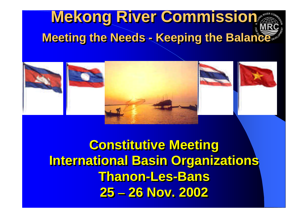# **Mekong River Commission Mekong River Commission Meeting the Needs - Keeping the Balance Meeting the Needs - Keeping the Balance**



**Constitutive Meeting Constitutive Meeting International Basin Organizations International Basin Organizations Thanon-Les-Bans Thanon-Les-Bans 25 – 26 Nov. 2002 25 – 26 Nov. 2002**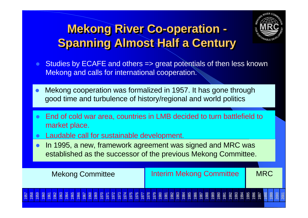## **Mekong River Co-operation - Spanning Almost Half a Century**



- Studies by ECAFE and others => great potentials of then less known Mekong and calls for international cooperation.
- Mekong cooperation was formalized in 1957. It has gone through good time and turbulence of history/regional and world politics
- l End of cold war area, countries in LMB decided to turn battlefield to market place.
- l Laudable call for sustainable development.
- In 1995, a new, framework agreement was signed and MRC was established as the successor of the previous Mekong Committee.

| <b>Mekong Committee</b> | <b>Interim Mekong Committee</b> | <b>MRC</b> |
|-------------------------|---------------------------------|------------|
| <b>57</b><br>58         |                                 |            |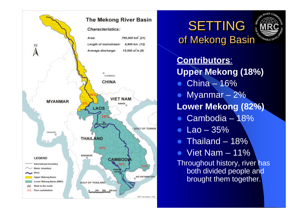



**Contributors**: **Upper Mekong (18%)**

- $\bullet$  China 16%
- $\bullet$  Myanmar  $-2\%$ **Lower Mekong (82%)**
- $\bullet$  Cambodia 18%
- $\bullet$  Lao 35%
- $\bullet$  Thailand 18%
- $\bullet$  Viet Nam 11%

Throughout history, river has both divided people and brought them together.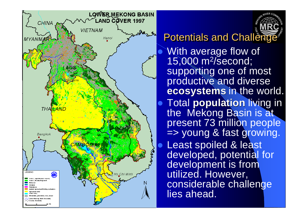

**Potentials and Challenge** With average flow of 15,000 m<sup>2</sup> /second; supporting one of most productive and diverse **ecosystems** in the world. **Total population living in** the Mekong Basin is at present 73 million people => young & fast growing. Least spoiled & least developed, potential for development is from utilized. However, considerable challenge lies ahead.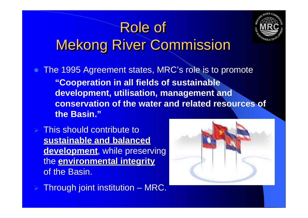## Role of Mekong River Commission



The 1995 Agreement states, MRC's role is to promote **"Cooperation in all fields of sustainable development, utilisation, management and conservation of the water and related resources of the Basin."**

This should contribute to **sustainable and balanced development**, while preserving the **environmental integrity** of the Basin.

Through joint institution – MRC.

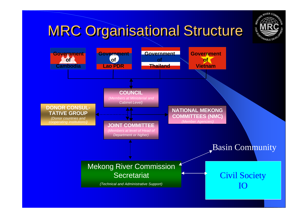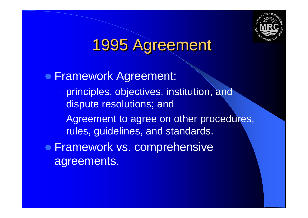

# 1995 Agreement

**• Framework Agreement:** 

- principles, objectives, institution, and dispute resolutions; and
- Agreement to agree on other procedures, rules, guidelines, and standards.
- **Framework vs. comprehensive** agreements.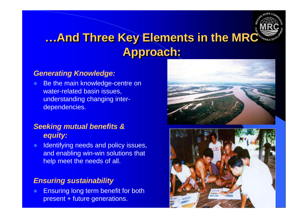

#### **…And Three Key Elements in the MRC Approach:**

#### *Generating Knowledge:*

**Be the main knowledge-centre on** water-related basin issues, understanding changing interdependencies.

#### *Seeking mutual benefits & equity:*

**Identifying needs and policy issues,** and enabling win-win solutions that help meet the needs of all.

#### *Ensuring sustainability*

**Ensuring long term benefit for both** present + future generations.



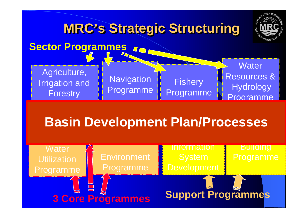

## **Basin Development Plan/Processes**

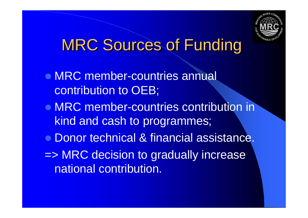

# MRC Sources of Funding

- MRC member-countries annual contribution to OEB;
- MRC member-countries contribution in kind and cash to programmes;
- **Donor technical & financial assistance.**
- => MRC decision to gradually increase national contribution.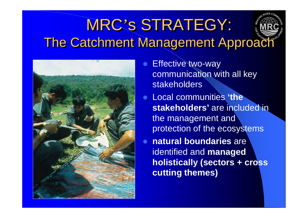# MRC's STRATEGY: The Catchment Management Approach



- **Effective two-way** communication with all key **stakeholders**
- **Local communities 'the' stakeholders'** are included in the management and protection of the ecosystems
- **natural boundaries** are identified and **managed holistically (sectors + cross cutting themes)**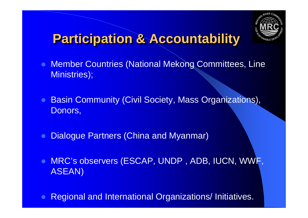

## **Participation & Accountability**

- **Member Countries (National Mekong Committees, Line** Ministries);
- Basin Community (Civil Society, Mass Organizations), Donors,
- Dialogue Partners (China and Myanmar)
- **. MRC's observers (ESCAP, UNDP, ADB, IUCN, WWF,** ASEAN)
- Regional and International Organizations/ Initiatives.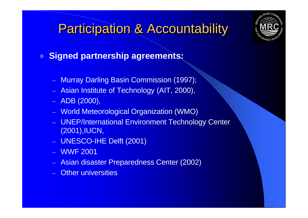### **Participation & Accountability**

#### **• Signed partnership agreements:**

- Murray Darling Basin Commission (1997);
- Asian Institute of Technology (AIT, 2000),
- ADB (2000),
- World Meteorological Organization (WMO)
- UNEP/International Environment Technology Center (2001),IUCN,
- UNESCO-IHE Delft (2001)
- WWF 2001
- Asian disaster Preparedness Center (2002)
- **Other universities**

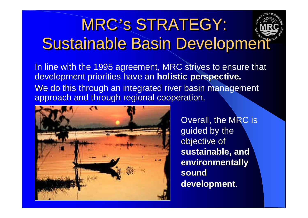# MRC's STRATEGY: MRC's STRATEGY: Sustainable Basin Development Sustainable Basin Development

In line with the 1995 agreement, MRC strives to ensure that development priorities have an **holistic perspective.** We do this through an integrated river basin management approach and through regional cooperation.



 Overall, the MRC is guided by the objective of **sustainable, and environmentally sound development**.